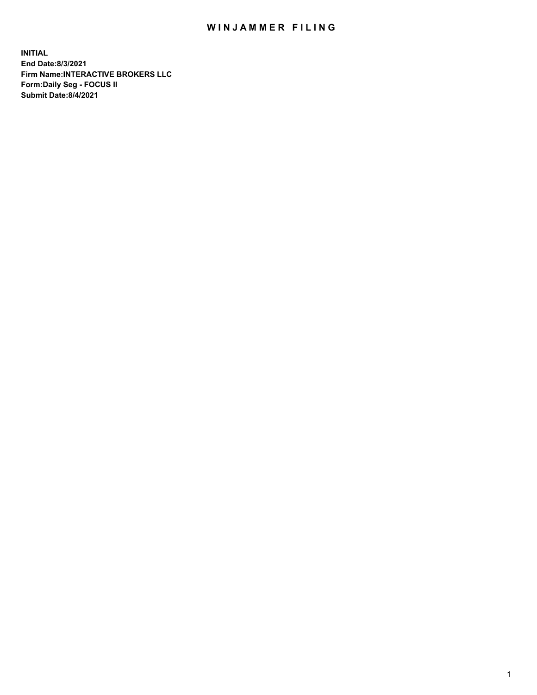## WIN JAMMER FILING

**INITIAL End Date:8/3/2021 Firm Name:INTERACTIVE BROKERS LLC Form:Daily Seg - FOCUS II Submit Date:8/4/2021**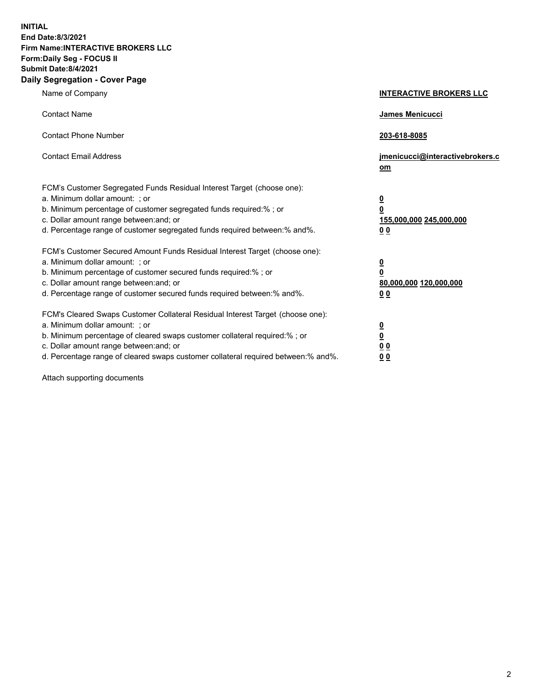**INITIAL End Date:8/3/2021 Firm Name:INTERACTIVE BROKERS LLC Form:Daily Seg - FOCUS II Submit Date:8/4/2021 Daily Segregation - Cover Page**

| Name of Company                                                                                                                                                                                                                                                                                                                | <b>INTERACTIVE BROKERS LLC</b>                                                                  |
|--------------------------------------------------------------------------------------------------------------------------------------------------------------------------------------------------------------------------------------------------------------------------------------------------------------------------------|-------------------------------------------------------------------------------------------------|
| <b>Contact Name</b>                                                                                                                                                                                                                                                                                                            | <b>James Menicucci</b>                                                                          |
| <b>Contact Phone Number</b>                                                                                                                                                                                                                                                                                                    | 203-618-8085                                                                                    |
| <b>Contact Email Address</b>                                                                                                                                                                                                                                                                                                   | jmenicucci@interactivebrokers.c<br>om                                                           |
| FCM's Customer Segregated Funds Residual Interest Target (choose one):<br>a. Minimum dollar amount: ; or<br>b. Minimum percentage of customer segregated funds required:% ; or<br>c. Dollar amount range between: and; or<br>d. Percentage range of customer segregated funds required between:% and%.                         | $\overline{\mathbf{0}}$<br>$\overline{\mathbf{0}}$<br>155,000,000 245,000,000<br>0 <sub>0</sub> |
| FCM's Customer Secured Amount Funds Residual Interest Target (choose one):<br>a. Minimum dollar amount: ; or<br>b. Minimum percentage of customer secured funds required:%; or<br>c. Dollar amount range between: and; or<br>d. Percentage range of customer secured funds required between:% and%.                            | $\overline{\mathbf{0}}$<br>$\overline{\mathbf{0}}$<br>80,000,000 120,000,000<br>0 <sub>0</sub>  |
| FCM's Cleared Swaps Customer Collateral Residual Interest Target (choose one):<br>a. Minimum dollar amount: ; or<br>b. Minimum percentage of cleared swaps customer collateral required:% ; or<br>c. Dollar amount range between: and; or<br>d. Percentage range of cleared swaps customer collateral required between:% and%. | $\frac{0}{0}$<br>0 <sub>0</sub><br>0 <sub>0</sub>                                               |

Attach supporting documents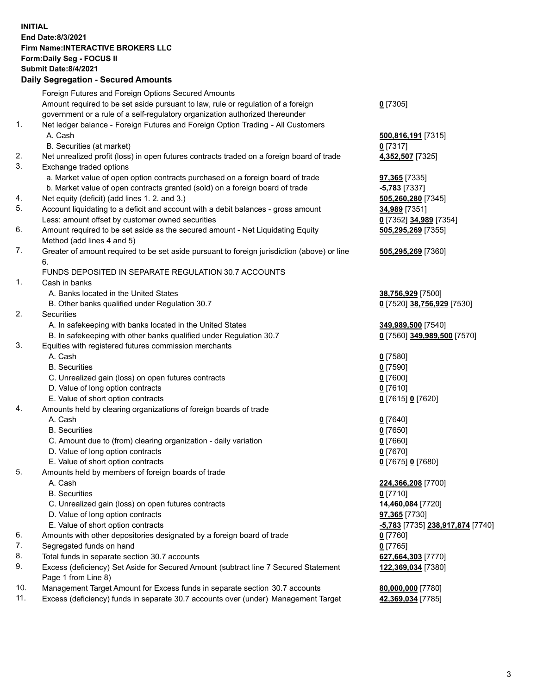## **INITIAL End Date:8/3/2021 Firm Name:INTERACTIVE BROKERS LLC Form:Daily Seg - FOCUS II Submit Date:8/4/2021 Daily Segregation - Secured Amounts**

|                | $\frac{1}{2}$                                                                                              |                                               |
|----------------|------------------------------------------------------------------------------------------------------------|-----------------------------------------------|
|                | Foreign Futures and Foreign Options Secured Amounts                                                        |                                               |
|                | Amount required to be set aside pursuant to law, rule or regulation of a foreign                           | $0$ [7305]                                    |
|                | government or a rule of a self-regulatory organization authorized thereunder                               |                                               |
| $\mathbf{1}$ . | Net ledger balance - Foreign Futures and Foreign Option Trading - All Customers                            |                                               |
|                | A. Cash                                                                                                    | 500,816,191 [7315]                            |
|                | B. Securities (at market)                                                                                  | $0$ [7317]                                    |
| 2.             | Net unrealized profit (loss) in open futures contracts traded on a foreign board of trade                  | 4,352,507 [7325]                              |
| 3.             | Exchange traded options                                                                                    |                                               |
|                | a. Market value of open option contracts purchased on a foreign board of trade                             | 97,365 [7335]                                 |
|                | b. Market value of open contracts granted (sold) on a foreign board of trade                               | $-5,783$ [7337]                               |
| 4.             | Net equity (deficit) (add lines 1. 2. and 3.)                                                              | 505,260,280 [7345]                            |
| 5.             | Account liquidating to a deficit and account with a debit balances - gross amount                          | 34,989 [7351]                                 |
|                | Less: amount offset by customer owned securities                                                           | 0 [7352] 34,989 [7354]                        |
| 6.             | Amount required to be set aside as the secured amount - Net Liquidating Equity                             | 505,295,269 [7355]                            |
|                | Method (add lines 4 and 5)                                                                                 |                                               |
| 7.             | Greater of amount required to be set aside pursuant to foreign jurisdiction (above) or line<br>6.          | 505,295,269 [7360]                            |
|                | FUNDS DEPOSITED IN SEPARATE REGULATION 30.7 ACCOUNTS                                                       |                                               |
| $\mathbf{1}$ . | Cash in banks                                                                                              |                                               |
|                | A. Banks located in the United States                                                                      | 38,756,929 [7500]                             |
|                | B. Other banks qualified under Regulation 30.7                                                             | 0 [7520] 38,756,929 [7530]                    |
| 2.             | Securities                                                                                                 |                                               |
|                | A. In safekeeping with banks located in the United States                                                  | 349,989,500 [7540]                            |
|                | B. In safekeeping with other banks qualified under Regulation 30.7                                         | 0 [7560] 349,989,500 [7570]                   |
| 3.             | Equities with registered futures commission merchants                                                      |                                               |
|                | A. Cash                                                                                                    | $0$ [7580]                                    |
|                | <b>B.</b> Securities                                                                                       | $0$ [7590]                                    |
|                | C. Unrealized gain (loss) on open futures contracts                                                        | $0$ [7600]                                    |
|                | D. Value of long option contracts                                                                          | $0$ [7610]                                    |
|                | E. Value of short option contracts                                                                         | 0 [7615] 0 [7620]                             |
| 4.             | Amounts held by clearing organizations of foreign boards of trade                                          |                                               |
|                | A. Cash                                                                                                    | $0$ [7640]                                    |
|                | <b>B.</b> Securities                                                                                       | $0$ [7650]                                    |
|                | C. Amount due to (from) clearing organization - daily variation                                            | $0$ [7660]                                    |
|                | D. Value of long option contracts                                                                          | $0$ [7670]                                    |
|                | E. Value of short option contracts                                                                         | 0 [7675] 0 [7680]                             |
| 5.             | Amounts held by members of foreign boards of trade                                                         |                                               |
|                | A. Cash                                                                                                    | 224,366,208 [7700]                            |
|                | <b>B.</b> Securities                                                                                       | $0$ [7710]                                    |
|                | C. Unrealized gain (loss) on open futures contracts                                                        | 14,460,084 [7720]                             |
|                | D. Value of long option contracts                                                                          | <b>97,365</b> [7730]                          |
|                | E. Value of short option contracts                                                                         | <mark>-5,783</mark> [7735] 238,917,874 [7740] |
| 6.             | Amounts with other depositories designated by a foreign board of trade                                     | $0$ [7760]                                    |
| 7.             | Segregated funds on hand                                                                                   | $0$ [7765]                                    |
| 8.             | Total funds in separate section 30.7 accounts                                                              | 627,664,303 [7770]                            |
| 9.             | Excess (deficiency) Set Aside for Secured Amount (subtract line 7 Secured Statement<br>Page 1 from Line 8) | 122,369,034 [7380]                            |
| 10.            | Management Target Amount for Excess funds in separate section 30.7 accounts                                | 80,000,000 [7780]                             |
| 11.            | Excess (deficiency) funds in separate 30.7 accounts over (under) Management Target                         | 42,369,034 [7785]                             |
|                |                                                                                                            |                                               |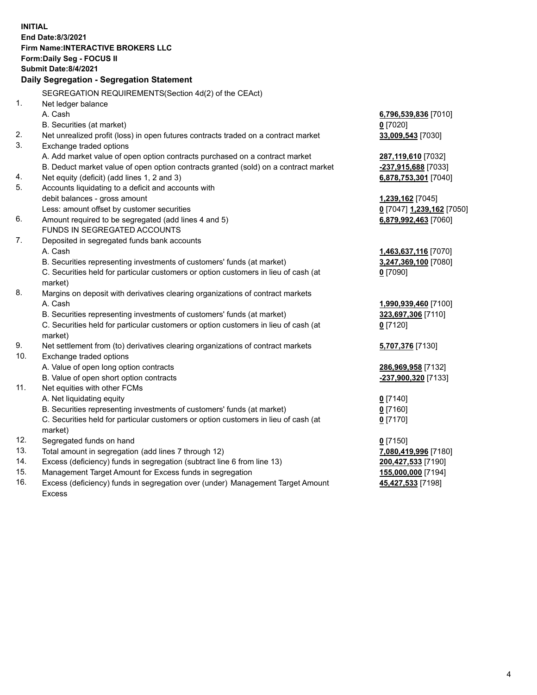**INITIAL End Date:8/3/2021 Firm Name:INTERACTIVE BROKERS LLC Form:Daily Seg - FOCUS II Submit Date:8/4/2021 Daily Segregation - Segregation Statement** SEGREGATION REQUIREMENTS(Section 4d(2) of the CEAct) 1. Net ledger balance A. Cash **6,796,539,836** [7010] B. Securities (at market) **0** [7020] 2. Net unrealized profit (loss) in open futures contracts traded on a contract market **33,009,543** [7030] 3. Exchange traded options A. Add market value of open option contracts purchased on a contract market **287,119,610** [7032] B. Deduct market value of open option contracts granted (sold) on a contract market **-237,915,688** [7033] 4. Net equity (deficit) (add lines 1, 2 and 3) **6,878,753,301** [7040] 5. Accounts liquidating to a deficit and accounts with debit balances - gross amount **1,239,162** [7045] Less: amount offset by customer securities **0** [7047] **1,239,162** [7050] 6. Amount required to be segregated (add lines 4 and 5) **6,879,992,463** [7060] FUNDS IN SEGREGATED ACCOUNTS 7. Deposited in segregated funds bank accounts A. Cash **1,463,637,116** [7070] B. Securities representing investments of customers' funds (at market) **3,247,369,100** [7080] C. Securities held for particular customers or option customers in lieu of cash (at market) **0** [7090] 8. Margins on deposit with derivatives clearing organizations of contract markets A. Cash **1,990,939,460** [7100] B. Securities representing investments of customers' funds (at market) **323,697,306** [7110] C. Securities held for particular customers or option customers in lieu of cash (at market) **0** [7120] 9. Net settlement from (to) derivatives clearing organizations of contract markets **5,707,376** [7130] 10. Exchange traded options A. Value of open long option contracts **286,969,958** [7132] B. Value of open short option contracts **-237,900,320** [7133] 11. Net equities with other FCMs A. Net liquidating equity **0** [7140] B. Securities representing investments of customers' funds (at market) **0** [7160] C. Securities held for particular customers or option customers in lieu of cash (at market) **0** [7170] 12. Segregated funds on hand **0** [7150] 13. Total amount in segregation (add lines 7 through 12) **7,080,419,996** [7180] 14. Excess (deficiency) funds in segregation (subtract line 6 from line 13) **200,427,533** [7190] 15. Management Target Amount for Excess funds in segregation **155,000,000** [7194]

16. Excess (deficiency) funds in segregation over (under) Management Target Amount Excess

**45,427,533** [7198]